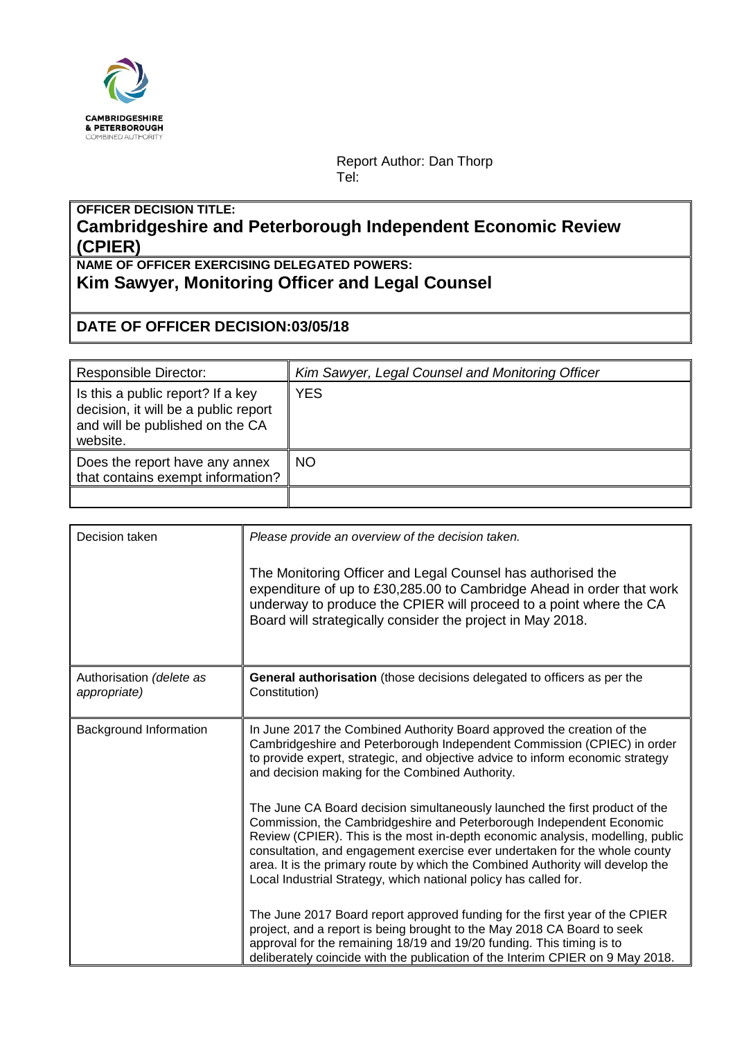

Report Author: Dan Thorp Tel:

## **OFFICER DECISION TITLE: Cambridgeshire and Peterborough Independent Economic Review (CPIER)**

**NAME OF OFFICER EXERCISING DELEGATED POWERS: Kim Sawyer, Monitoring Officer and Legal Counsel**

## **DATE OF OFFICER DECISION:03/05/18**

| <b>Responsible Director:</b>                                                                                             | Kim Sawyer, Legal Counsel and Monitoring Officer |
|--------------------------------------------------------------------------------------------------------------------------|--------------------------------------------------|
| Is this a public report? If a key<br>decision, it will be a public report<br>and will be published on the CA<br>website. | <b>YES</b>                                       |
| Does the report have any annex<br>that contains exempt information?                                                      | <b>NO</b>                                        |
|                                                                                                                          |                                                  |

| Decision taken                           | Please provide an overview of the decision taken.<br>The Monitoring Officer and Legal Counsel has authorised the<br>expenditure of up to £30,285.00 to Cambridge Ahead in order that work<br>underway to produce the CPIER will proceed to a point where the CA<br>Board will strategically consider the project in May 2018.                                                                                                                                             |
|------------------------------------------|---------------------------------------------------------------------------------------------------------------------------------------------------------------------------------------------------------------------------------------------------------------------------------------------------------------------------------------------------------------------------------------------------------------------------------------------------------------------------|
| Authorisation (delete as<br>appropriate) | General authorisation (those decisions delegated to officers as per the<br>Constitution)                                                                                                                                                                                                                                                                                                                                                                                  |
| Background Information                   | In June 2017 the Combined Authority Board approved the creation of the<br>Cambridgeshire and Peterborough Independent Commission (CPIEC) in order<br>to provide expert, strategic, and objective advice to inform economic strategy<br>and decision making for the Combined Authority.                                                                                                                                                                                    |
|                                          | The June CA Board decision simultaneously launched the first product of the<br>Commission, the Cambridgeshire and Peterborough Independent Economic<br>Review (CPIER). This is the most in-depth economic analysis, modelling, public<br>consultation, and engagement exercise ever undertaken for the whole county<br>area. It is the primary route by which the Combined Authority will develop the<br>Local Industrial Strategy, which national policy has called for. |
|                                          | The June 2017 Board report approved funding for the first year of the CPIER<br>project, and a report is being brought to the May 2018 CA Board to seek<br>approval for the remaining 18/19 and 19/20 funding. This timing is to<br>deliberately coincide with the publication of the Interim CPIER on 9 May 2018.                                                                                                                                                         |